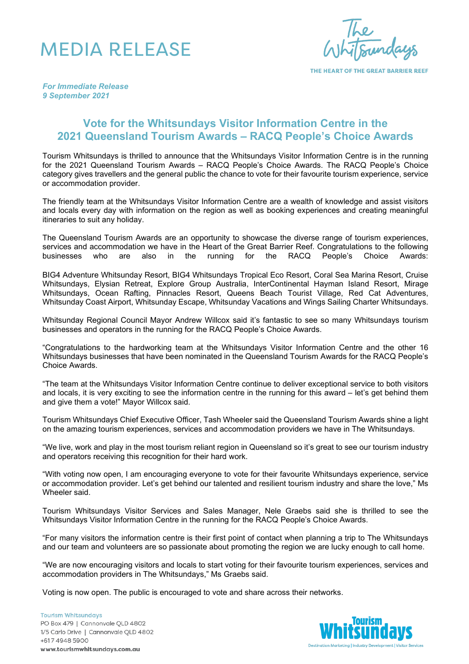## MEDIA RELEASE

THE HEART OF THE GREAT BARRIER REEF

*For Immediate Release 9 September 2021*

## **Vote for the Whitsundays Visitor Information Centre in the 2021 Queensland Tourism Awards – RACQ People's Choice Awards**

Tourism Whitsundays is thrilled to announce that the Whitsundays Visitor Information Centre is in the running for the 2021 Queensland Tourism Awards – RACQ People's Choice Awards. The RACQ People's Choice category gives travellers and the general public the chance to vote for their favourite tourism experience, service or accommodation provider.

The friendly team at the Whitsundays Visitor Information Centre are a wealth of knowledge and assist visitors and locals every day with information on the region as well as booking experiences and creating meaningful itineraries to suit any holiday.

The Queensland Tourism Awards are an opportunity to showcase the diverse range of tourism experiences, services and accommodation we have in the Heart of the Great Barrier Reef. Congratulations to the following businesses who are also in the running for the RACQ People's Choice Awards:

BIG4 Adventure Whitsunday Resort, BIG4 Whitsundays Tropical Eco Resort, Coral Sea Marina Resort, Cruise Whitsundays, Elysian Retreat, Explore Group Australia, InterContinental Hayman Island Resort, Mirage Whitsundays, Ocean Rafting, Pinnacles Resort, Queens Beach Tourist Village, Red Cat Adventures, Whitsunday Coast Airport, Whitsunday Escape, Whitsunday Vacations and Wings Sailing Charter Whitsundays.

Whitsunday Regional Council Mayor Andrew Willcox said it's fantastic to see so many Whitsundays tourism businesses and operators in the running for the RACQ People's Choice Awards.

"Congratulations to the hardworking team at the Whitsundays Visitor Information Centre and the other 16 Whitsundays businesses that have been nominated in the Queensland Tourism Awards for the RACQ People's Choice Awards.

"The team at the Whitsundays Visitor Information Centre continue to deliver exceptional service to both visitors and locals, it is very exciting to see the information centre in the running for this award – let's get behind them and give them a vote!" Mayor Willcox said.

Tourism Whitsundays Chief Executive Officer, Tash Wheeler said the Queensland Tourism Awards shine a light on the amazing tourism experiences, services and accommodation providers we have in The Whitsundays.

"We live, work and play in the most tourism reliant region in Queensland so it's great to see our tourism industry and operators receiving this recognition for their hard work.

"With voting now open, I am encouraging everyone to vote for their favourite Whitsundays experience, service or accommodation provider. Let's get behind our talented and resilient tourism industry and share the love," Ms Wheeler said.

Tourism Whitsundays Visitor Services and Sales Manager, Nele Graebs said she is thrilled to see the Whitsundays Visitor Information Centre in the running for the RACQ People's Choice Awards.

"For many visitors the information centre is their first point of contact when planning a trip to The Whitsundays and our team and volunteers are so passionate about promoting the region we are lucky enough to call home.

"We are now encouraging visitors and locals to start voting for their favourite tourism experiences, services and accommodation providers in The Whitsundays," Ms Graebs said.

Voting is now open. The public is encouraged to vote and share across their networks.

**Tourism Whitsundays** PO Box 479 | Cannonvale QLD 4802 1/5 Carlo Drive | Cannonvale QLD 4802 +617 4948 5900 www.tourismwhitsundays.com.au